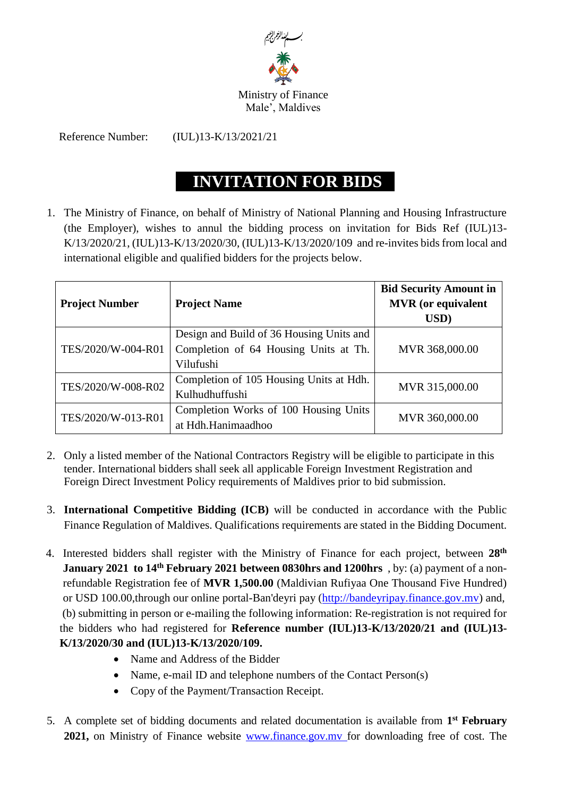

## Ministry of Finance Male', Maldives

Reference Number: (IUL)13-K/13/2021/21

## **INVITATION FOR BIDS**

1. The Ministry of Finance, on behalf of Ministry of National Planning and Housing Infrastructure (the Employer), wishes to annul the bidding process on invitation for Bids Ref (IUL)13- K/13/2020/21, (IUL)13-K/13/2020/30, (IUL)13-K/13/2020/109 and re-invites bids from local and international eligible and qualified bidders for the projects below.

| <b>Project Number</b> | <b>Project Name</b>                                                                            | <b>Bid Security Amount in</b><br><b>MVR</b> (or equivalent<br>USD) |
|-----------------------|------------------------------------------------------------------------------------------------|--------------------------------------------------------------------|
| TES/2020/W-004-R01    | Design and Build of 36 Housing Units and<br>Completion of 64 Housing Units at Th.<br>Vilufushi | MVR 368,000.00                                                     |
| TES/2020/W-008-R02    | Completion of 105 Housing Units at Hdh.<br>Kulhudhuffushi                                      | MVR 315,000.00                                                     |
| TES/2020/W-013-R01    | Completion Works of 100 Housing Units<br>at Hdh.Hanimaadhoo                                    | MVR 360,000.00                                                     |

- 2. Only a listed member of the National Contractors Registry will be eligible to participate in this tender. International bidders shall seek all applicable Foreign Investment Registration and Foreign Direct Investment Policy requirements of Maldives prior to bid submission.
- 3. **International Competitive Bidding (ICB)** will be conducted in accordance with the Public Finance Regulation of Maldives. Qualifications requirements are stated in the Bidding Document.
- 4. Interested bidders shall register with the Ministry of Finance for each project, between **28th January 2021 to 14<sup>th</sup> February 2021 between 0830hrs and 1200hrs**, by: (a) payment of a nonrefundable Registration fee of **MVR 1,500.00** (Maldivian Rufiyaa One Thousand Five Hundred) or USD 100.00,through our online portal-Ban'deyri pay [\(http://bandeyripay.finance.gov.mv\)](http://bandeyripay.finance.gov.mv/) and, (b) submitting in person or e-mailing the following information: Re-registration is not required for the bidders who had registered for **Reference number (IUL)13-K/13/2020/21 and (IUL)13- K/13/2020/30 and (IUL)13-K/13/2020/109.**
	- Name and Address of the Bidder
	- Name, e-mail ID and telephone numbers of the Contact Person(s)
	- Copy of the Payment/Transaction Receipt.
- 5. A complete set of bidding documents and related documentation is available from **1 st February 2021,** on Ministry of Finance website [www.finance.gov.mv](http://www.finance.gov.mv/) for downloading free of cost. The